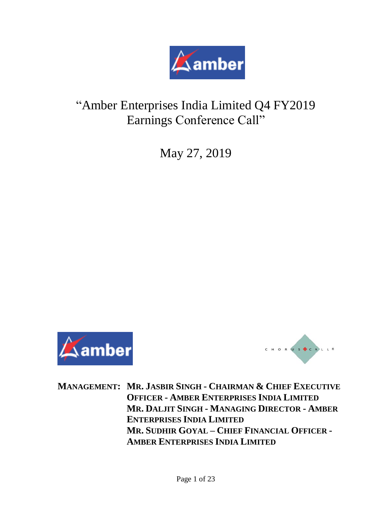

# "Amber Enterprises India Limited Q4 FY2019 Earnings Conference Call"

May 27, 2019





**MANAGEMENT: MR. JASBIR SINGH - CHAIRMAN & CHIEF EXECUTIVE OFFICER - AMBER ENTERPRISES INDIA LIMITED MR. DALJIT SINGH - MANAGING DIRECTOR - AMBER ENTERPRISES INDIA LIMITED MR. SUDHIR GOYAL – CHIEF FINANCIAL OFFICER - AMBER ENTERPRISES INDIA LIMITED**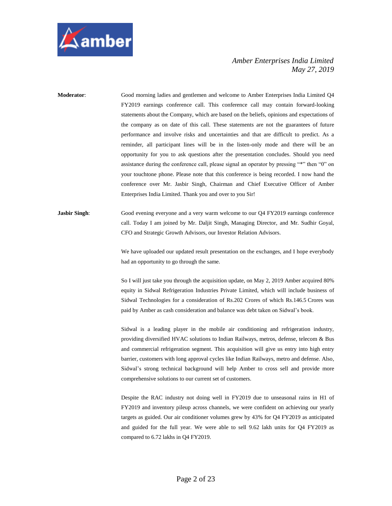

**Moderator**: Good morning ladies and gentlemen and welcome to Amber Enterprises India Limited Q4 FY2019 earnings conference call. This conference call may contain forward-looking statements about the Company, which are based on the beliefs, opinions and expectations of the company as on date of this call. These statements are not the guarantees of future performance and involve risks and uncertainties and that are difficult to predict. As a reminder, all participant lines will be in the listen-only mode and there will be an opportunity for you to ask questions after the presentation concludes. Should you need assistance during the conference call, please signal an operator by pressing "\*" then "0" on your touchtone phone. Please note that this conference is being recorded. I now hand the conference over Mr. Jasbir Singh, Chairman and Chief Executive Officer of Amber Enterprises India Limited. Thank you and over to you Sir!

**Jasbir Singh:** Good evening everyone and a very warm welcome to our Q4 FY2019 earnings conference call. Today I am joined by Mr. Daljit Singh, Managing Director, and Mr. Sudhir Goyal, CFO and Strategic Growth Advisors, our Investor Relation Advisors.

> We have uploaded our updated result presentation on the exchanges, and I hope everybody had an opportunity to go through the same.

> So I will just take you through the acquisition update, on May 2, 2019 Amber acquired 80% equity in Sidwal Refrigeration Industries Private Limited, which will include business of Sidwal Technologies for a consideration of Rs.202 Crores of which Rs.146.5 Crores was paid by Amber as cash consideration and balance was debt taken on Sidwal's book.

> Sidwal is a leading player in the mobile air conditioning and refrigeration industry, providing diversified HVAC solutions to Indian Railways, metros, defense, telecom & Bus and commercial refrigeration segment. This acquisition will give us entry into high entry barrier, customers with long approval cycles like Indian Railways, metro and defense. Also, Sidwal's strong technical background will help Amber to cross sell and provide more comprehensive solutions to our current set of customers.

> Despite the RAC industry not doing well in FY2019 due to unseasonal rains in H1 of FY2019 and inventory pileup across channels, we were confident on achieving our yearly targets as guided. Our air conditioner volumes grew by 43% for Q4 FY2019 as anticipated and guided for the full year. We were able to sell 9.62 lakh units for Q4 FY2019 as compared to 6.72 lakhs in Q4 FY2019.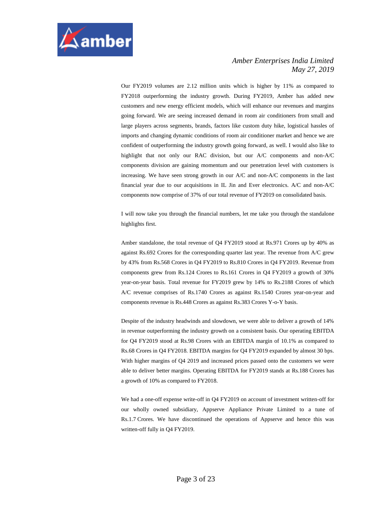

Our FY2019 volumes are 2.12 million units which is higher by 11% as compared to FY2018 outperforming the industry growth. During FY2019, Amber has added new customers and new energy efficient models, which will enhance our revenues and margins going forward. We are seeing increased demand in room air conditioners from small and large players across segments, brands, factors like custom duty hike, logistical hassles of imports and changing dynamic conditions of room air conditioner market and hence we are confident of outperforming the industry growth going forward, as well. I would also like to highlight that not only our RAC division, but our A/C components and non-A/C components division are gaining momentum and our penetration level with customers is increasing. We have seen strong growth in our A/C and non-A/C components in the last financial year due to our acquisitions in IL Jin and Ever electronics. A/C and non-A/C components now comprise of 37% of our total revenue of FY2019 on consolidated basis.

I will now take you through the financial numbers, let me take you through the standalone highlights first.

Amber standalone, the total revenue of Q4 FY2019 stood at Rs.971 Crores up by 40% as against Rs.692 Crores for the corresponding quarter last year. The revenue from A/C grew by 43% from Rs.568 Crores in Q4 FY2019 to Rs.810 Crores in Q4 FY2019. Revenue from components grew from Rs.124 Crores to Rs.161 Crores in Q4 FY2019 a growth of 30% year-on-year basis. Total revenue for FY2019 grew by 14% to Rs.2188 Crores of which A/C revenue comprises of Rs.1740 Crores as against Rs.1540 Crores year-on-year and components revenue is Rs.448 Crores as against Rs.383 Crores Y-o-Y basis.

Despite of the industry headwinds and slowdown, we were able to deliver a growth of 14% in revenue outperforming the industry growth on a consistent basis. Our operating EBITDA for Q4 FY2019 stood at Rs.98 Crores with an EBITDA margin of 10.1% as compared to Rs.68 Crores in Q4 FY2018. EBITDA margins for Q4 FY2019 expanded by almost 30 bps. With higher margins of Q4 2019 and increased prices passed onto the customers we were able to deliver better margins. Operating EBITDA for FY2019 stands at Rs.188 Crores has a growth of 10% as compared to FY2018.

We had a one-off expense write-off in Q4 FY2019 on account of investment written-off for our wholly owned subsidiary, Appserve Appliance Private Limited to a tune of Rs.1.7 Crores. We have discontinued the operations of Appserve and hence this was written-off fully in Q4 FY2019.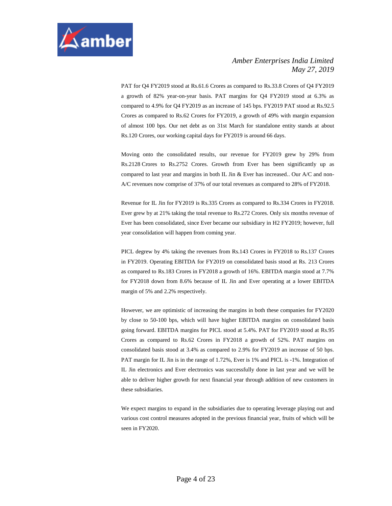

PAT for Q4 FY2019 stood at Rs.61.6 Crores as compared to Rs.33.8 Crores of Q4 FY2019 a growth of 82% year-on-year basis. PAT margins for Q4 FY2019 stood at 6.3% as compared to 4.9% for Q4 FY2019 as an increase of 145 bps. FY2019 PAT stood at Rs.92.5 Crores as compared to Rs.62 Crores for FY2019, a growth of 49% with margin expansion of almost 100 bps. Our net debt as on 31st March for standalone entity stands at about Rs.120 Crores, our working capital days for FY2019 is around 66 days.

Moving onto the consolidated results, our revenue for FY2019 grew by 29% from Rs.2128 Crores to Rs.2752 Crores. Growth from Ever has been significantly up as compared to last year and margins in both IL Jin & Ever has increased.. Our A/C and non-A/C revenues now comprise of 37% of our total revenues as compared to 28% of FY2018.

Revenue for IL Jin for FY2019 is Rs.335 Crores as compared to Rs.334 Crores in FY2018. Ever grew by at 21% taking the total revenue to Rs.272 Crores. Only six months revenue of Ever has been consolidated, since Ever became our subsidiary in H2 FY2019; however, full year consolidation will happen from coming year.

PICL degrew by 4% taking the revenues from Rs.143 Crores in FY2018 to Rs.137 Crores in FY2019. Operating EBITDA for FY2019 on consolidated basis stood at Rs. 213 Crores as compared to Rs.183 Crores in FY2018 a growth of 16%. EBITDA margin stood at 7.7% for FY2018 down from 8.6% because of IL Jin and Ever operating at a lower EBITDA margin of 5% and 2.2% respectively.

However, we are optimistic of increasing the margins in both these companies for FY2020 by close to 50-100 bps, which will have higher EBITDA margins on consolidated basis going forward. EBITDA margins for PICL stood at 5.4%. PAT for FY2019 stood at Rs.95 Crores as compared to Rs.62 Crores in FY2018 a growth of 52%. PAT margins on consolidated basis stood at 3.4% as compared to 2.9% for FY2019 an increase of 50 bps. PAT margin for IL Jin is in the range of 1.72%, Ever is 1% and PICL is -1%. Integration of IL Jin electronics and Ever electronics was successfully done in last year and we will be able to deliver higher growth for next financial year through addition of new customers in these subsidiaries.

We expect margins to expand in the subsidiaries due to operating leverage playing out and various cost control measures adopted in the previous financial year, fruits of which will be seen in FY2020.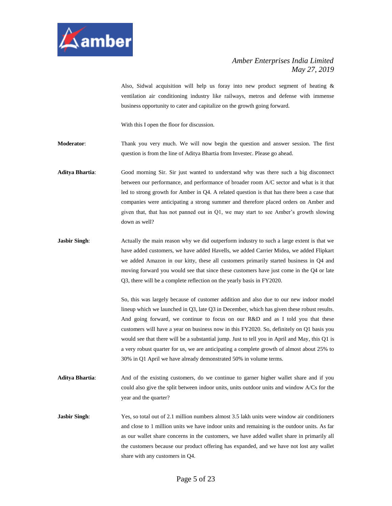

Also, Sidwal acquisition will help us foray into new product segment of heating & ventilation air conditioning industry like railways, metros and defense with immense business opportunity to cater and capitalize on the growth going forward.

With this I open the floor for discussion.

**Moderator**: Thank you very much. We will now begin the question and answer session. The first question is from the line of Aditya Bhartia from Investec. Please go ahead.

**Aditya Bhartia**: Good morning Sir. Sir just wanted to understand why was there such a big disconnect between our performance, and performance of broader room A/C sector and what is it that led to strong growth for Amber in Q4. A related question is that has there been a case that companies were anticipating a strong summer and therefore placed orders on Amber and given that, that has not panned out in Q1, we may start to see Amber's growth slowing down as well?

**Jasbir Singh:** Actually the main reason why we did outperform industry to such a large extent is that we have added customers, we have added Havells, we added Carrier Midea, we added Flipkart we added Amazon in our kitty, these all customers primarily started business in Q4 and moving forward you would see that since these customers have just come in the Q4 or late Q3, there will be a complete reflection on the yearly basis in FY2020.

> So, this was largely because of customer addition and also due to our new indoor model lineup which we launched in Q3, late Q3 in December, which has given these robust results. And going forward, we continue to focus on our R&D and as I told you that these customers will have a year on business now in this FY2020. So, definitely on Q1 basis you would see that there will be a substantial jump. Just to tell you in April and May, this Q1 is a very robust quarter for us, we are anticipating a complete growth of almost about 25% to 30% in Q1 April we have already demonstrated 50% in volume terms.

**Aditya Bhartia**: And of the existing customers, do we continue to garner higher wallet share and if you could also give the split between indoor units, units outdoor units and window A/Cs for the year and the quarter?

**Jasbir Singh**: Yes, so total out of 2.1 million numbers almost 3.5 lakh units were window air conditioners and close to 1 million units we have indoor units and remaining is the outdoor units. As far as our wallet share concerns in the customers, we have added wallet share in primarily all the customers because our product offering has expanded, and we have not lost any wallet share with any customers in Q4.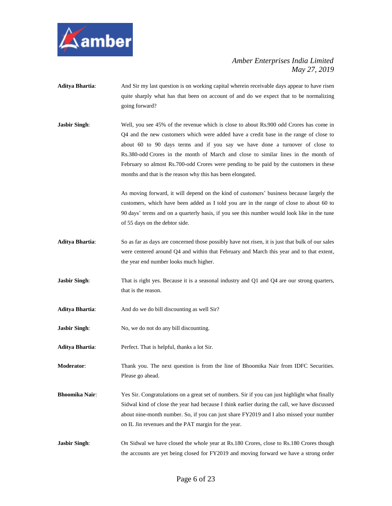

- **Aditya Bhartia:** And Sir my last question is on working capital wherein receivable days appear to have risen quite sharply what has that been on account of and do we expect that to be normalizing going forward?
- **Jasbir Singh:** Well, you see 45% of the revenue which is close to about Rs.900 odd Crores has come in Q4 and the new customers which were added have a credit base in the range of close to about 60 to 90 days terms and if you say we have done a turnover of close to Rs.380-odd Crores in the month of March and close to similar lines in the month of February so almost Rs.700-odd Crores were pending to be paid by the customers in these months and that is the reason why this has been elongated.

As moving forward, it will depend on the kind of customers' business because largely the customers, which have been added as I told you are in the range of close to about 60 to 90 days' terms and on a quarterly basis, if you see this number would look like in the tune of 55 days on the debtor side.

- **Aditya Bhartia**: So as far as days are concerned those possibly have not risen, it is just that bulk of our sales were centered around Q4 and within that February and March this year and to that extent, the year end number looks much higher.
- **Jasbir Singh:** That is right yes. Because it is a seasonal industry and Q1 and Q4 are our strong quarters, that is the reason.
- Aditya Bhartia: And do we do bill discounting as well Sir?
- **Jasbir Singh:** No, we do not do any bill discounting.
- Aditya Bhartia: Perfect. That is helpful, thanks a lot Sir.
- **Moderator**: Thank you. The next question is from the line of Bhoomika Nair from IDFC Securities. Please go ahead.
- **Bhoomika Nair**: Yes Sir. Congratulations on a great set of numbers. Sir if you can just highlight what finally Sidwal kind of close the year had because I think earlier during the call, we have discussed about nine-month number. So, if you can just share FY2019 and I also missed your number on IL Jin revenues and the PAT margin for the year.
- **Jasbir Singh:** On Sidwal we have closed the whole year at Rs.180 Crores, close to Rs.180 Crores though the accounts are yet being closed for FY2019 and moving forward we have a strong order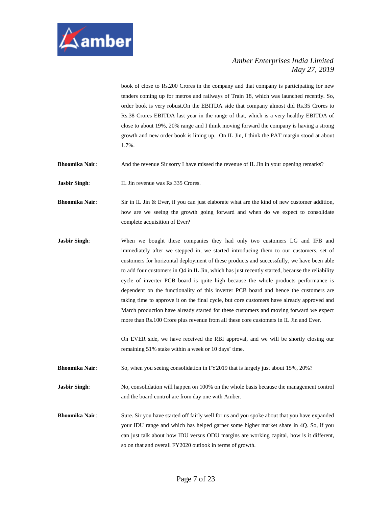

book of close to Rs.200 Crores in the company and that company is participating for new tenders coming up for metros and railways of Train 18, which was launched recently. So, order book is very robust.On the EBITDA side that company almost did Rs.35 Crores to Rs.38 Crores EBITDA last year in the range of that, which is a very healthy EBITDA of close to about 19%, 20% range and I think moving forward the company is having a strong growth and new order book is lining up. On IL Jin, I think the PAT margin stood at about 1.7%.

**Bhoomika Nair:** And the revenue Sir sorry I have missed the revenue of IL Jin in your opening remarks?

**Jasbir Singh:** IL Jin revenue was Rs.335 Crores.

**Bhoomika Nair:** Sir in IL Jin & Ever, if you can just elaborate what are the kind of new customer addition, how are we seeing the growth going forward and when do we expect to consolidate complete acquisition of Ever?

**Jasbir Singh:** When we bought these companies they had only two customers LG and IFB and immediately after we stepped in, we started introducing them to our customers, set of customers for horizontal deployment of these products and successfully, we have been able to add four customers in Q4 in IL Jin, which has just recently started, because the reliability cycle of inverter PCB board is quite high because the whole products performance is dependent on the functionality of this inverter PCB board and hence the customers are taking time to approve it on the final cycle, but core customers have already approved and March production have already started for these customers and moving forward we expect more than Rs.100 Crore plus revenue from all these core customers in IL Jin and Ever.

> On EVER side, we have received the RBI approval, and we will be shortly closing our remaining 51% stake within a week or 10 days' time.

**Bhoomika Nair:** So, when you seeing consolidation in FY2019 that is largely just about 15%, 20%?

**Jasbir Singh:** No, consolidation will happen on 100% on the whole basis because the management control and the board control are from day one with Amber.

**Bhoomika Nair:** Sure. Sir you have started off fairly well for us and you spoke about that you have expanded your IDU range and which has helped garner some higher market share in 4Q. So, if you can just talk about how IDU versus ODU margins are working capital, how is it different, so on that and overall FY2020 outlook in terms of growth.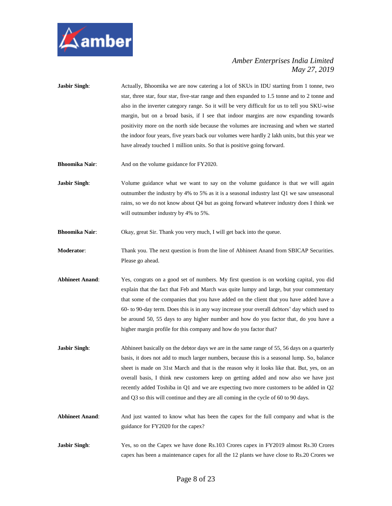

- **Jasbir Singh:** Actually, Bhoomika we are now catering a lot of SKUs in IDU starting from 1 tonne, two star, three star, four star, five-star range and then expanded to 1.5 tonne and to 2 tonne and also in the inverter category range. So it will be very difficult for us to tell you SKU-wise margin, but on a broad basis, if I see that indoor margins are now expanding towards positivity more on the north side because the volumes are increasing and when we started the indoor four years, five years back our volumes were hardly 2 lakh units, but this year we have already touched 1 million units. So that is positive going forward.
- **Bhoomika Nair:** And on the volume guidance for FY2020.
- **Jasbir Singh:** Volume guidance what we want to say on the volume guidance is that we will again outnumber the industry by 4% to 5% as it is a seasonal industry last Q1 we saw unseasonal rains, so we do not know about Q4 but as going forward whatever industry does I think we will outnumber industry by 4% to 5%.
- **Bhoomika Nair:** Okay, great Sir. Thank you very much, I will get back into the queue.
- **Moderator**: Thank you. The next question is from the line of Abhineet Anand from SBICAP Securities. Please go ahead.
- **Abhineet Anand**: Yes, congrats on a good set of numbers. My first question is on working capital, you did explain that the fact that Feb and March was quite lumpy and large, but your commentary that some of the companies that you have added on the client that you have added have a 60- to 90-day term. Does this is in any way increase your overall debtors' day which used to be around 50, 55 days to any higher number and how do you factor that, do you have a higher margin profile for this company and how do you factor that?
- **Jasbir Singh:** Abhineet basically on the debtor days we are in the same range of 55, 56 days on a quarterly basis, it does not add to much larger numbers, because this is a seasonal lump. So, balance sheet is made on 31st March and that is the reason why it looks like that. But, yes, on an overall basis, I think new customers keep on getting added and now also we have just recently added Toshiba in Q1 and we are expecting two more customers to be added in Q2 and Q3 so this will continue and they are all coming in the cycle of 60 to 90 days.
- **Abhineet Anand**: And just wanted to know what has been the capex for the full company and what is the guidance for FY2020 for the capex?
- **Jasbir Singh:** Yes, so on the Capex we have done Rs.103 Crores capex in FY2019 almost Rs.30 Crores capex has been a maintenance capex for all the 12 plants we have close to Rs.20 Crores we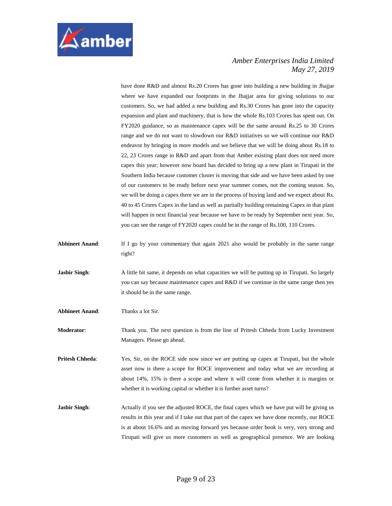

have done R&D and almost Rs.20 Crores has gone into building a new building in Jhajjar where we have expanded our footprints in the Jhajjar area for giving solutions to our customers. So, we had added a new building and Rs.30 Crores has gone into the capacity expansion and plant and machinery, that is how the whole Rs.103 Crores has spent out. On FY2020 guidance, so as maintenance capex will be the same around Rs.25 to 30 Crores range and we do not want to slowdown our R&D initiatives so we will continue our R&D endeavor by bringing in more models and we believe that we will be doing about Rs.18 to 22, 23 Crores range in R&D and apart from that Amber existing plant does not need more capex this year; however now board has decided to bring up a new plant in Tirupati in the Southern India because customer cluster is moving that side and we have been asked by one of our customers to be ready before next year summer comes, not the coming season. So, we will be doing a capex there we are in the process of buying land and we expect about Rs. 40 to 45 Crores Capex in the land as well as partially building remaining Capex in that plant will happen in next financial year because we have to be ready by September next year. So, you can see the range of FY2020 capex could be in the range of Rs.100, 110 Crores.

- **Abhineet Anand**: If I go by your commentary that again 2021 also would be probably in the same range right?
- **Jasbir Singh:** A little bit same, it depends on what capacities we will be putting up in Tirupati. So largely you can say because maintenance capex and R&D if we continue in the same range then yes it should be in the same range.
- **Abhineet Anand**: Thanks a lot Sir.
- **Moderator**: Thank you. The next question is from the line of Pritesh Chheda from Lucky Investment Managers. Please go ahead.
- **Pritesh Chheda:** Yes, Sir, on the ROCE side now since we are putting up capex at Tirupati, but the whole asset now is there a scope for ROCE improvement and today what we are recording at about 14%, 15% is there a scope and where it will come from whether it is margins or whether it is working capital or whether it is further asset turns?
- **Jasbir Singh:** Actually if you see the adjusted ROCE, the final capex which we have put will be giving us results in this year and if I take out that part of the capex we have done recently, our ROCE is at about 16.6% and as moving forward yes because order book is very, very strong and Tirupati will give us more customers as well as geographical presence. We are looking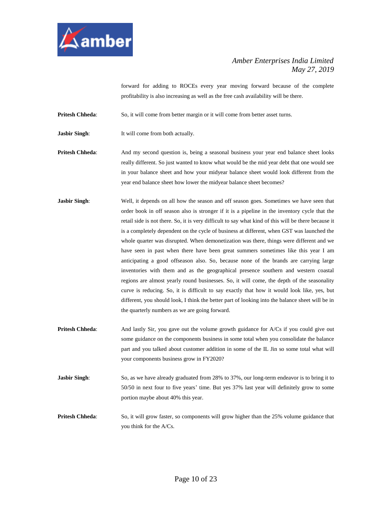

forward for adding to ROCEs every year moving forward because of the complete profitability is also increasing as well as the free cash availability will be there.

**Pritesh Chheda:** So, it will come from better margin or it will come from better asset turns.

**Jasbir Singh:** It will come from both actually.

**Pritesh Chheda:** And my second question is, being a seasonal business your year end balance sheet looks really different. So just wanted to know what would be the mid year debt that one would see in your balance sheet and how your midyear balance sheet would look different from the year end balance sheet how lower the midyear balance sheet becomes?

- **Jasbir Singh:** Well, it depends on all how the season and off season goes. Sometimes we have seen that order book in off season also is stronger if it is a pipeline in the inventory cycle that the retail side is not there. So, it is very difficult to say what kind of this will be there because it is a completely dependent on the cycle of business at different, when GST was launched the whole quarter was disrupted. When demonetization was there, things were different and we have seen in past when there have been great summers sometimes like this year I am anticipating a good offseason also. So, because none of the brands are carrying large inventories with them and as the geographical presence southern and western coastal regions are almost yearly round businesses. So, it will come, the depth of the seasonality curve is reducing. So, it is difficult to say exactly that how it would look like, yes, but different, you should look, I think the better part of looking into the balance sheet will be in the quarterly numbers as we are going forward.
- **Pritesh Chheda:** And lastly Sir, you gave out the volume growth guidance for A/Cs if you could give out some guidance on the components business in some total when you consolidate the balance part and you talked about customer addition in some of the IL Jin so some total what will your components business grow in FY2020?
- **Jasbir Singh**: So, as we have already graduated from 28% to 37%, our long-term endeavor is to bring it to 50/50 in next four to five years' time. But yes 37% last year will definitely grow to some portion maybe about 40% this year.
- **Pritesh Chheda:** So, it will grow faster, so components will grow higher than the 25% volume guidance that you think for the A/Cs.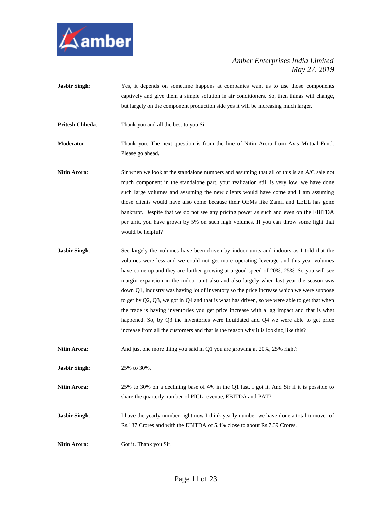

- **Jasbir Singh:** Yes, it depends on sometime happens at companies want us to use those components captively and give them a simple solution in air conditioners. So, then things will change, but largely on the component production side yes it will be increasing much larger.
- **Pritesh Chheda:** Thank you and all the best to you Sir.

**Moderator**: Thank you. The next question is from the line of Nitin Arora from Axis Mutual Fund. Please go ahead.

**Nitin Arora:** Sir when we look at the standalone numbers and assuming that all of this is an A/C sale not much component in the standalone part, your realization still is very low, we have done such large volumes and assuming the new clients would have come and I am assuming those clients would have also come because their OEMs like Zamil and LEEL has gone bankrupt. Despite that we do not see any pricing power as such and even on the EBITDA per unit, you have grown by 5% on such high volumes. If you can throw some light that would be helpful?

**Jasbir Singh:** See largely the volumes have been driven by indoor units and indoors as I told that the volumes were less and we could not get more operating leverage and this year volumes have come up and they are further growing at a good speed of 20%, 25%. So you will see margin expansion in the indoor unit also and also largely when last year the season was down Q1, industry was having lot of inventory so the price increase which we were suppose to get by Q2, Q3, we got in Q4 and that is what has driven, so we were able to get that when the trade is having inventories you get price increase with a lag impact and that is what happened. So, by Q3 the inventories were liquidated and Q4 we were able to get price increase from all the customers and that is the reason why it is looking like this?

**Nitin Arora:** And just one more thing you said in Q1 you are growing at 20%, 25% right?

**Jasbir Singh**: 25% to 30%.

**Nitin Arora:** 25% to 30% on a declining base of 4% in the Q1 last, I got it. And Sir if it is possible to share the quarterly number of PICL revenue, EBITDA and PAT?

**Jasbir Singh:** I have the yearly number right now I think yearly number we have done a total turnover of Rs.137 Crores and with the EBITDA of 5.4% close to about Rs.7.39 Crores.

**Nitin Arora:** Got it. Thank you Sir.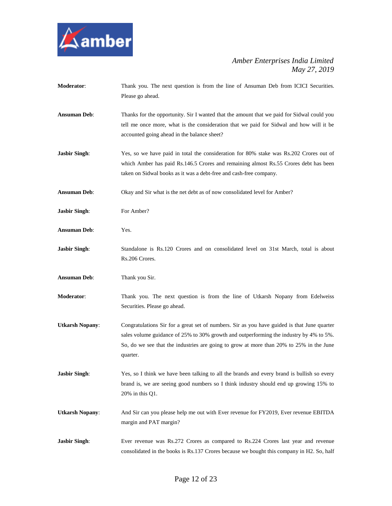

- **Moderator**: Thank you. The next question is from the line of Ansuman Deb from ICICI Securities. Please go ahead.
- **Ansuman Deb**: Thanks for the opportunity. Sir I wanted that the amount that we paid for Sidwal could you tell me once more, what is the consideration that we paid for Sidwal and how will it be accounted going ahead in the balance sheet?
- **Jasbir Singh:** Yes, so we have paid in total the consideration for 80% stake was Rs.202 Crores out of which Amber has paid Rs.146.5 Crores and remaining almost Rs.55 Crores debt has been taken on Sidwal books as it was a debt-free and cash-free company.
- **Ansuman Deb**: Okay and Sir what is the net debt as of now consolidated level for Amber?
- **Jasbir Singh:** For Amber?
- **Ansuman Deb**: Yes.
- **Jasbir Singh:** Standalone is Rs.120 Crores and on consolidated level on 31st March, total is about Rs.206 Crores.
- **Ansuman Deb**: Thank you Sir.
- **Moderator**: Thank you. The next question is from the line of Utkarsh Nopany from Edelweiss Securities. Please go ahead.
- **Utkarsh Nopany**: Congratulations Sir for a great set of numbers. Sir as you have guided is that June quarter sales volume guidance of 25% to 30% growth and outperforming the industry by 4% to 5%. So, do we see that the industries are going to grow at more than 20% to 25% in the June quarter.
- **Jasbir Singh:** Yes, so I think we have been talking to all the brands and every brand is bullish so every brand is, we are seeing good numbers so I think industry should end up growing 15% to 20% in this Q1.
- **Utkarsh Nopany**: And Sir can you please help me out with Ever revenue for FY2019, Ever revenue EBITDA margin and PAT margin?
- **Jasbir Singh:** Ever revenue was Rs.272 Crores as compared to Rs.224 Crores last year and revenue consolidated in the books is Rs.137 Crores because we bought this company in H2. So, half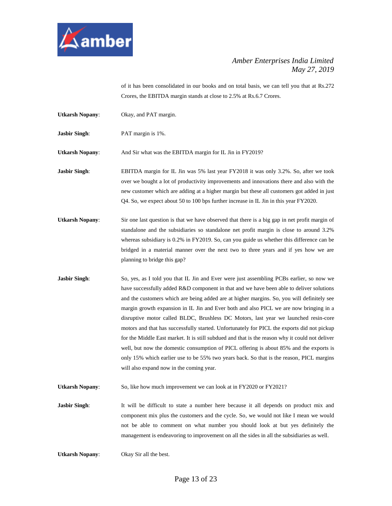

of it has been consolidated in our books and on total basis, we can tell you that at Rs.272 Crores, the EBITDA margin stands at close to 2.5% at Rs.6.7 Crores.

- **Utkarsh Nopany**: Okay, and PAT margin.
- **Jasbir Singh**: PAT margin is 1%.

**Utkarsh Nopany**: And Sir what was the EBITDA margin for IL Jin in FY2019?

**Jasbir Singh:** EBITDA margin for IL Jin was 5% last year FY2018 it was only 3.2%. So, after we took over we bought a lot of productivity improvements and innovations there and also with the new customer which are adding at a higher margin but these all customers got added in just Q4. So, we expect about 50 to 100 bps further increase in IL Jin in this year FY2020.

- **Utkarsh Nopany**: Sir one last question is that we have observed that there is a big gap in net profit margin of standalone and the subsidiaries so standalone net profit margin is close to around 3.2% whereas subsidiary is 0.2% in FY2019. So, can you guide us whether this difference can be bridged in a material manner over the next two to three years and if yes how we are planning to bridge this gap?
- **Jasbir Singh:** So, yes, as I told you that IL Jin and Ever were just assembling PCBs earlier, so now we have successfully added R&D component in that and we have been able to deliver solutions and the customers which are being added are at higher margins. So, you will definitely see margin growth expansion in IL Jin and Ever both and also PICL we are now bringing in a disruptive motor called BLDC, Brushless DC Motors, last year we launched resin-core motors and that has successfully started. Unfortunately for PICL the exports did not pickup for the Middle East market. It is still subdued and that is the reason why it could not deliver well, but now the domestic consumption of PICL offering is about 85% and the exports is only 15% which earlier use to be 55% two years back. So that is the reason, PICL margins will also expand now in the coming year.

**Utkarsh Nopany**: So, like how much improvement we can look at in FY2020 or FY2021?

**Jasbir Singh:** It will be difficult to state a number here because it all depends on product mix and component mix plus the customers and the cycle. So, we would not like I mean we would not be able to comment on what number you should look at but yes definitely the management is endeavoring to improvement on all the sides in all the subsidiaries as well.

**Utkarsh Nopany**: Okay Sir all the best.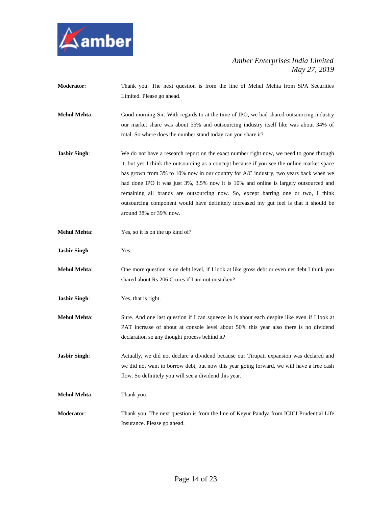

- **Moderator**: Thank you. The next question is from the line of Mehul Mehta from SPA Securities Limited. Please go ahead.
- **Mehul Mehta**: Good morning Sir. With regards to at the time of IPO, we had shared outsourcing industry our market share was about 55% and outsourcing industry itself like was about 34% of total. So where does the number stand today can you share it?
- **Jasbir Singh:** We do not have a research report on the exact number right now, we need to gone through it, but yes I think the outsourcing as a concept because if you see the online market space has grown from 3% to 10% now in our country for A/C industry, two years back when we had done IPO it was just 3%, 3.5% now it is 10% and online is largely outsourced and remaining all brands are outsourcing now. So, except barring one or two, I think outsourcing component would have definitely increased my gut feel is that it should be around 38% or 39% now.
- **Mehul Mehta**: Yes, so it is on the up kind of?
- **Jasbir Singh**: Yes.
- **Mehul Mehta**: One more question is on debt level, if I look at like gross debt or even net debt I think you shared about Rs.206 Crores if I am not mistaken?
- **Jasbir Singh**: Yes, that is right.
- **Mehul Mehta**: Sure. And one last question if I can squeeze in is about each despite like even if I look at PAT increase of about at console level about 50% this year also there is no dividend declaration so any thought process behind it?
- Jasbir Singh: Actually, we did not declare a dividend because our Tirupati expansion was declared and we did not want to borrow debt, but now this year going forward, we will have a free cash flow. So definitely you will see a dividend this year.
- **Mehul Mehta**: Thank you.
- **Moderator**: Thank you. The next question is from the line of Keyur Pandya from ICICI Prudential Life Insurance. Please go ahead.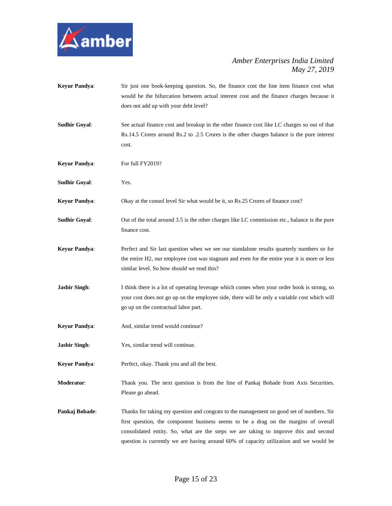

**Keyur Pandya**: Sir just one book-keeping question. So, the finance cost the line item finance cost what would be the bifurcation between actual interest cost and the finance charges because it does not add up with your debt level? **Sudhir Goyal**: See actual finance cost and breakup in the other finance cost like LC charges so out of that Rs.14.5 Crores around Rs.2 to .2.5 Crores is the other charges balance is the pure interest cost. **Keyur Pandya:** For full FY2019? **Sudhir Goyal**: Yes. **Keyur Pandya**: Okay at the consol level Sir what would be it, so Rs.25 Crores of finance cost? **Sudhir Goyal:** Out of the total around 3.5 is the other charges like LC commission etc., balance is the pure finance cost. **Keyur Pandya**: Perfect and Sir last question when we see our standalone results quarterly numbers so for the entire H2, our employee cost was stagnant and even for the entire year it is more or less similar level. So how should we read this? **Jasbir Singh:** I think there is a lot of operating leverage which comes when your order book is strong, so your cost does not go up on the employee side, there will be only a variable cost which will go up on the contractual labor part. **Keyur Pandya:** And, similar trend would continue? **Jasbir Singh**: Yes, similar trend will continue. **Keyur Pandya**: Perfect, okay. Thank you and all the best. **Moderator**: Thank you. The next question is from the line of Pankaj Bobade from Axis Securities. Please go ahead. **Pankaj Bobade:** Thanks for taking my question and congrats to the management on good set of numbers. Sir first question, the component business seems to be a drag on the margins of overall consolidated entity. So, what are the steps we are taking to improve this and second question is currently we are having around 60% of capacity utilization and we would be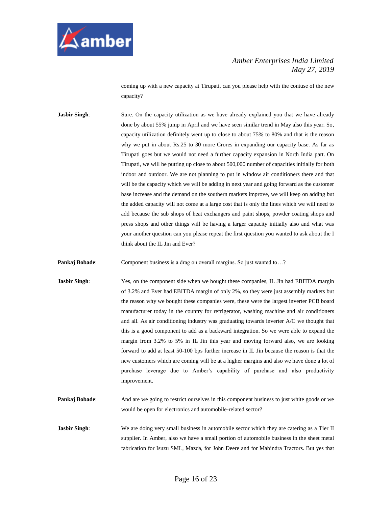

coming up with a new capacity at Tirupati, can you please help with the contuse of the new capacity?

**Jasbir Singh:** Sure. On the capacity utilization as we have already explained you that we have already done by about 55% jump in April and we have seen similar trend in May also this year. So, capacity utilization definitely went up to close to about 75% to 80% and that is the reason why we put in about Rs.25 to 30 more Crores in expanding our capacity base. As far as Tirupati goes but we would not need a further capacity expansion in North India part. On Tirupati, we will be putting up close to about 500,000 number of capacities initially for both indoor and outdoor. We are not planning to put in window air conditioners there and that will be the capacity which we will be adding in next year and going forward as the customer base increase and the demand on the southern markets improve, we will keep on adding but the added capacity will not come at a large cost that is only the lines which we will need to add because the sub shops of heat exchangers and paint shops, powder coating shops and press shops and other things will be having a larger capacity initially also and what was your another question can you please repeat the first question you wanted to ask about the I think about the IL Jin and Ever?

**Pankaj Bobade:** Component business is a drag on overall margins. So just wanted to...?

- **Jasbir Singh:** Yes, on the component side when we bought these companies, IL Jin had EBITDA margin of 3.2% and Ever had EBITDA margin of only 2%, so they were just assembly markets but the reason why we bought these companies were, these were the largest inverter PCB board manufacturer today in the country for refrigerator, washing machine and air conditioners and all. As air conditioning industry was graduating towards inverter A/C we thought that this is a good component to add as a backward integration. So we were able to expand the margin from 3.2% to 5% in IL Jin this year and moving forward also, we are looking forward to add at least 50-100 bps further increase in IL Jin because the reason is that the new customers which are coming will be at a higher margins and also we have done a lot of purchase leverage due to Amber's capability of purchase and also productivity improvement.
- **Pankaj Bobade:** And are we going to restrict ourselves in this component business to just white goods or we would be open for electronics and automobile-related sector?
- **Jasbir Singh:** We are doing very small business in automobile sector which they are catering as a Tier II supplier. In Amber, also we have a small portion of automobile business in the sheet metal fabrication for Isuzu SML, Mazda, for John Deere and for Mahindra Tractors. But yes that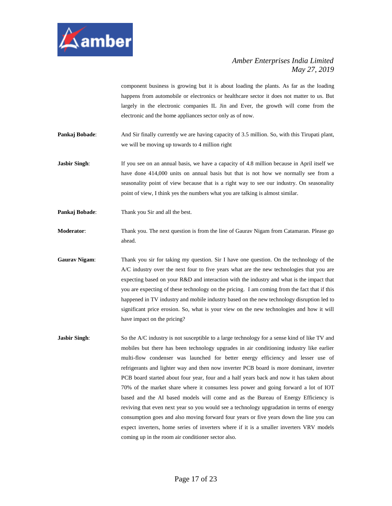

component business is growing but it is about loading the plants. As far as the loading happens from automobile or electronics or healthcare sector it does not matter to us. But largely in the electronic companies IL Jin and Ever, the growth will come from the electronic and the home appliances sector only as of now.

- **Pankaj Bobade:** And Sir finally currently we are having capacity of 3.5 million. So, with this Tirupati plant, we will be moving up towards to 4 million right
- **Jasbir Singh**: If you see on an annual basis, we have a capacity of 4.8 million because in April itself we have done 414,000 units on annual basis but that is not how we normally see from a seasonality point of view because that is a right way to see our industry. On seasonality point of view, I think yes the numbers what you are talking is almost similar.
- **Pankaj Bobade:** Thank you Sir and all the best.
- **Moderator:** Thank you. The next question is from the line of Gaurav Nigam from Catamaran. Please go ahead.
- **Gaurav Nigam**: Thank you sir for taking my question. Sir I have one question. On the technology of the A/C industry over the next four to five years what are the new technologies that you are expecting based on your R&D and interaction with the industry and what is the impact that you are expecting of these technology on the pricing. I am coming from the fact that if this happened in TV industry and mobile industry based on the new technology disruption led to significant price erosion. So, what is your view on the new technologies and how it will have impact on the pricing?
- **Jasbir Singh**: So the A/C industry is not susceptible to a large technology for a sense kind of like TV and mobiles but there has been technology upgrades in air conditioning industry like earlier multi-flow condenser was launched for better energy efficiency and lesser use of refrigerants and lighter way and then now inverter PCB board is more dominant, inverter PCB board started about four year, four and a half years back and now it has taken about 70% of the market share where it consumes less power and going forward a lot of IOT based and the AI based models will come and as the Bureau of Energy Efficiency is reviving that even next year so you would see a technology upgradation in terms of energy consumption goes and also moving forward four years or five years down the line you can expect inverters, home series of inverters where if it is a smaller inverters VRV models coming up in the room air conditioner sector also.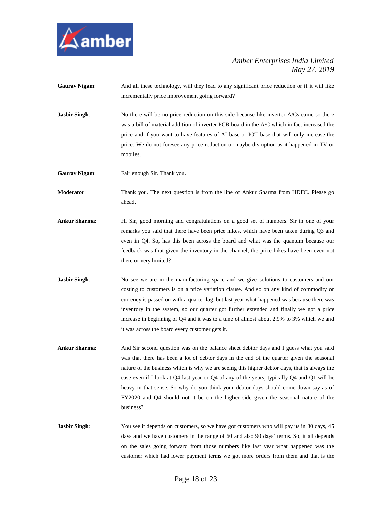

**Gaurav Nigam:** And all these technology, will they lead to any significant price reduction or if it will like incrementally price improvement going forward?

**Jasbir Singh:** No there will be no price reduction on this side because like inverter A/Cs came so there was a bill of material addition of inverter PCB board in the A/C which in fact increased the price and if you want to have features of AI base or IOT base that will only increase the price. We do not foresee any price reduction or maybe disruption as it happened in TV or mobiles.

**Gaurav Nigam:** Fair enough Sir. Thank you.

**Moderator**: Thank you. The next question is from the line of Ankur Sharma from HDFC. Please go ahead.

- **Ankur Sharma**: Hi Sir, good morning and congratulations on a good set of numbers. Sir in one of your remarks you said that there have been price hikes, which have been taken during Q3 and even in Q4. So, has this been across the board and what was the quantum because our feedback was that given the inventory in the channel, the price hikes have been even not there or very limited?
- **Jasbir Singh:** No see we are in the manufacturing space and we give solutions to customers and our costing to customers is on a price variation clause. And so on any kind of commodity or currency is passed on with a quarter lag, but last year what happened was because there was inventory in the system, so our quarter got further extended and finally we got a price increase in beginning of Q4 and it was to a tune of almost about 2.9% to 3% which we and it was across the board every customer gets it.
- **Ankur Sharma**: And Sir second question was on the balance sheet debtor days and I guess what you said was that there has been a lot of debtor days in the end of the quarter given the seasonal nature of the business which is why we are seeing this higher debtor days, that is always the case even if I look at Q4 last year or Q4 of any of the years, typically Q4 and Q1 will be heavy in that sense. So why do you think your debtor days should come down say as of FY2020 and Q4 should not it be on the higher side given the seasonal nature of the business?
- **Jasbir Singh**: You see it depends on customers, so we have got customers who will pay us in 30 days, 45 days and we have customers in the range of 60 and also 90 days' terms. So, it all depends on the sales going forward from those numbers like last year what happened was the customer which had lower payment terms we got more orders from them and that is the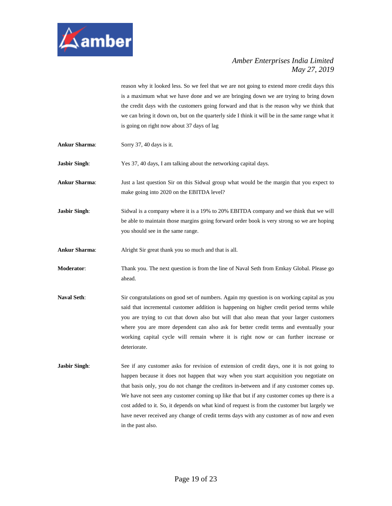

reason why it looked less. So we feel that we are not going to extend more credit days this is a maximum what we have done and we are bringing down we are trying to bring down the credit days with the customers going forward and that is the reason why we think that we can bring it down on, but on the quarterly side I think it will be in the same range what it is going on right now about 37 days of lag

**Ankur Sharma**: Sorry 37, 40 days is it.

**Jasbir Singh**: Yes 37, 40 days, I am talking about the networking capital days.

**Ankur Sharma**: Just a last question Sir on this Sidwal group what would be the margin that you expect to make going into 2020 on the EBITDA level?

**Jasbir Singh:** Sidwal is a company where it is a 19% to 20% EBITDA company and we think that we will be able to maintain those margins going forward order book is very strong so we are hoping you should see in the same range.

Ankur Sharma: Alright Sir great thank you so much and that is all.

**Moderator**: Thank you. The next question is from the line of Naval Seth from Emkay Global. Please go ahead.

- **Naval Seth**: Sir congratulations on good set of numbers. Again my question is on working capital as you said that incremental customer addition is happening on higher credit period terms while you are trying to cut that down also but will that also mean that your larger customers where you are more dependent can also ask for better credit terms and eventually your working capital cycle will remain where it is right now or can further increase or deteriorate.
- **Jasbir Singh:** See if any customer asks for revision of extension of credit days, one it is not going to happen because it does not happen that way when you start acquisition you negotiate on that basis only, you do not change the creditors in-between and if any customer comes up. We have not seen any customer coming up like that but if any customer comes up there is a cost added to it. So, it depends on what kind of request is from the customer but largely we have never received any change of credit terms days with any customer as of now and even in the past also.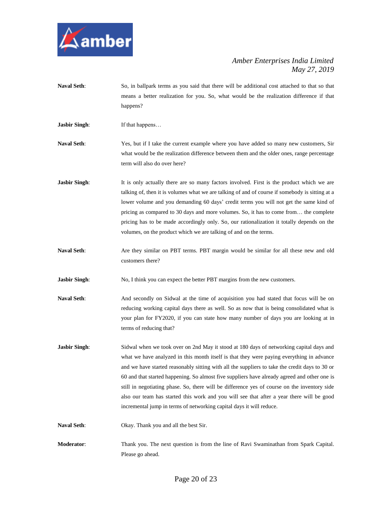

**Naval Seth**: So, in ballpark terms as you said that there will be additional cost attached to that so that means a better realization for you. So, what would be the realization difference if that happens?

**Jasbir Singh:** If that happens...

- **Naval Seth**: Yes, but if I take the current example where you have added so many new customers, Sir what would be the realization difference between them and the older ones, range percentage term will also do over here?
- **Jasbir Singh:** It is only actually there are so many factors involved. First is the product which we are talking of, then it is volumes what we are talking of and of course if somebody is sitting at a lower volume and you demanding 60 days' credit terms you will not get the same kind of pricing as compared to 30 days and more volumes. So, it has to come from… the complete pricing has to be made accordingly only. So, our rationalization it totally depends on the volumes, on the product which we are talking of and on the terms.
- **Naval Seth**: Are they similar on PBT terms. PBT margin would be similar for all these new and old customers there?
- **Jasbir Singh:** No, I think you can expect the better PBT margins from the new customers.
- **Naval Seth**: And secondly on Sidwal at the time of acquisition you had stated that focus will be on reducing working capital days there as well. So as now that is being consolidated what is your plan for FY2020, if you can state how many number of days you are looking at in terms of reducing that?
- **Jasbir Singh:** Sidwal when we took over on 2nd May it stood at 180 days of networking capital days and what we have analyzed in this month itself is that they were paying everything in advance and we have started reasonably sitting with all the suppliers to take the credit days to 30 or 60 and that started happening. So almost five suppliers have already agreed and other one is still in negotiating phase. So, there will be difference yes of course on the inventory side also our team has started this work and you will see that after a year there will be good incremental jump in terms of networking capital days it will reduce.
- **Naval Seth**: Okay. Thank you and all the best Sir.
- **Moderator**: Thank you. The next question is from the line of Ravi Swaminathan from Spark Capital. Please go ahead.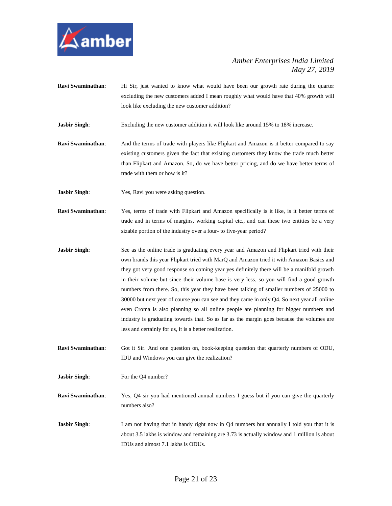

- **Ravi Swaminathan:** Hi Sir, just wanted to know what would have been our growth rate during the quarter excluding the new customers added I mean roughly what would have that 40% growth will look like excluding the new customer addition?
- **Jasbir Singh:** Excluding the new customer addition it will look like around 15% to 18% increase.
- **Ravi Swaminathan**: And the terms of trade with players like Flipkart and Amazon is it better compared to say existing customers given the fact that existing customers they know the trade much better than Flipkart and Amazon. So, do we have better pricing, and do we have better terms of trade with them or how is it?
- **Jasbir Singh:** Yes, Ravi you were asking question.
- **Ravi Swaminathan**: Yes, terms of trade with Flipkart and Amazon specifically is it like, is it better terms of trade and in terms of margins, working capital etc., and can these two entities be a very sizable portion of the industry over a four- to five-year period?
- **Jasbir Singh:** See as the online trade is graduating every year and Amazon and Flipkart tried with their own brands this year Flipkart tried with MarQ and Amazon tried it with Amazon Basics and they got very good response so coming year yes definitely there will be a manifold growth in their volume but since their volume base is very less, so you will find a good growth numbers from there. So, this year they have been talking of smaller numbers of 25000 to 30000 but next year of course you can see and they came in only Q4. So next year all online even Croma is also planning so all online people are planning for bigger numbers and industry is graduating towards that. So as far as the margin goes because the volumes are less and certainly for us, it is a better realization.
- **Ravi Swaminathan**: Got it Sir. And one question on, book-keeping question that quarterly numbers of ODU, IDU and Windows you can give the realization?
- **Jasbir Singh:** For the Q4 number?
- **Ravi Swaminathan:** Yes, Q4 sir you had mentioned annual numbers I guess but if you can give the quarterly numbers also?
- **Jasbir Singh:** I am not having that in handy right now in Q4 numbers but annually I told you that it is about 3.5 lakhs is window and remaining are 3.73 is actually window and 1 million is about IDUs and almost 7.1 lakhs is ODUs.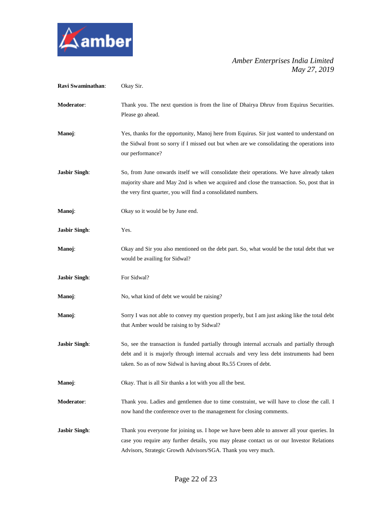

| Ravi Swaminathan:    | Okay Sir.                                                                                                                                                                                                                                                   |
|----------------------|-------------------------------------------------------------------------------------------------------------------------------------------------------------------------------------------------------------------------------------------------------------|
| Moderator:           | Thank you. The next question is from the line of Dhairya Dhruv from Equirus Securities.<br>Please go ahead.                                                                                                                                                 |
| Manoj:               | Yes, thanks for the opportunity, Manoj here from Equirus. Sir just wanted to understand on<br>the Sidwal front so sorry if I missed out but when are we consolidating the operations into<br>our performance?                                               |
| <b>Jasbir Singh:</b> | So, from June onwards itself we will consolidate their operations. We have already taken<br>majority share and May 2nd is when we acquired and close the transaction. So, post that in<br>the very first quarter, you will find a consolidated numbers.     |
| Manoj:               | Okay so it would be by June end.                                                                                                                                                                                                                            |
| <b>Jasbir Singh:</b> | Yes.                                                                                                                                                                                                                                                        |
| Manoj:               | Okay and Sir you also mentioned on the debt part. So, what would be the total debt that we<br>would be availing for Sidwal?                                                                                                                                 |
| <b>Jasbir Singh:</b> | For Sidwal?                                                                                                                                                                                                                                                 |
| Manoj:               | No, what kind of debt we would be raising?                                                                                                                                                                                                                  |
| Manoj:               | Sorry I was not able to convey my question properly, but I am just asking like the total debt<br>that Amber would be raising to by Sidwal?                                                                                                                  |
| <b>Jasbir Singh:</b> | So, see the transaction is funded partially through internal accruals and partially through<br>debt and it is majorly through internal accruals and very less debt instruments had been<br>taken. So as of now Sidwal is having about Rs.55 Crores of debt. |
| Manoj:               | Okay. That is all Sir thanks a lot with you all the best.                                                                                                                                                                                                   |
| Moderator:           | Thank you. Ladies and gentlemen due to time constraint, we will have to close the call. I<br>now hand the conference over to the management for closing comments.                                                                                           |
| <b>Jasbir Singh:</b> | Thank you everyone for joining us. I hope we have been able to answer all your queries. In<br>case you require any further details, you may please contact us or our Investor Relations<br>Advisors, Strategic Growth Advisors/SGA. Thank you very much.    |